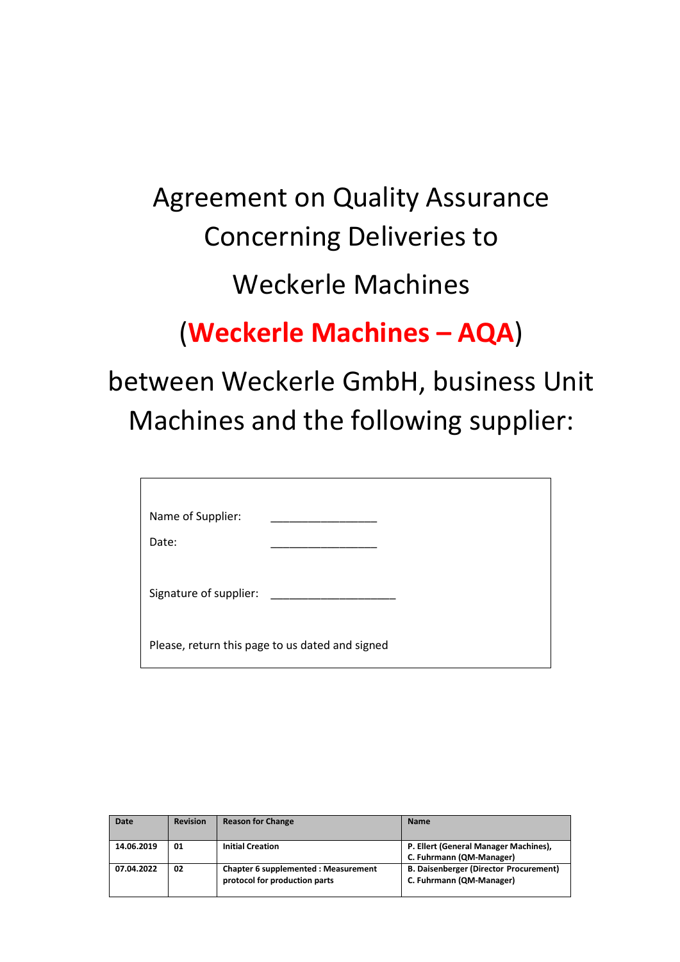# Agreement on Quality Assurance Concerning Deliveries to Weckerle Machines

## (**Weckerle Machines – AQA**)

## between Weckerle GmbH, business Unit Machines and the following supplier:

| Name of Supplier:      |                                                 |
|------------------------|-------------------------------------------------|
| Date:                  |                                                 |
| Signature of supplier: |                                                 |
|                        | Please, return this page to us dated and signed |

| <b>Date</b> | <b>Revision</b> | <b>Reason for Change</b>                                              | <b>Name</b>                                                               |
|-------------|-----------------|-----------------------------------------------------------------------|---------------------------------------------------------------------------|
| 14.06.2019  | 01              | <b>Initial Creation</b>                                               | P. Ellert (General Manager Machines),<br>C. Fuhrmann (QM-Manager)         |
| 07.04.2022  | 02              | Chapter 6 supplemented : Measurement<br>protocol for production parts | <b>B. Daisenberger (Director Procurement)</b><br>C. Fuhrmann (QM-Manager) |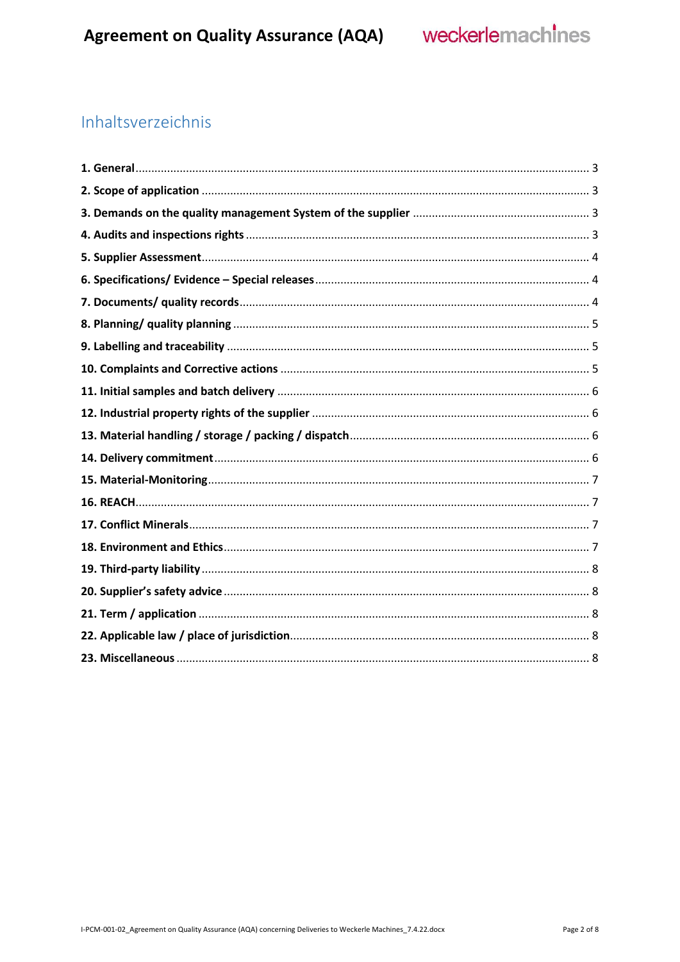## Inhaltsverzeichnis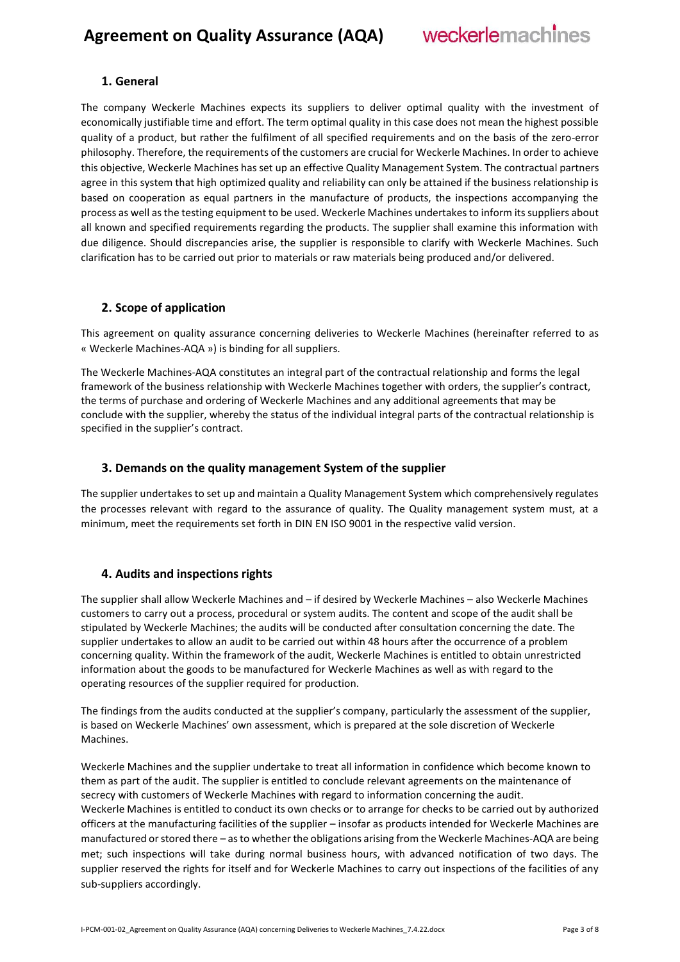#### <span id="page-2-0"></span>**1. General**

The company Weckerle Machines expects its suppliers to deliver optimal quality with the investment of economically justifiable time and effort. The term optimal quality in this case does not mean the highest possible quality of a product, but rather the fulfilment of all specified requirements and on the basis of the zero-error philosophy. Therefore, the requirements of the customers are crucial for Weckerle Machines. In order to achieve this objective, Weckerle Machines has set up an effective Quality Management System. The contractual partners agree in this system that high optimized quality and reliability can only be attained if the business relationship is based on cooperation as equal partners in the manufacture of products, the inspections accompanying the process as well as the testing equipment to be used. Weckerle Machines undertakes to inform its suppliers about all known and specified requirements regarding the products. The supplier shall examine this information with due diligence. Should discrepancies arise, the supplier is responsible to clarify with Weckerle Machines. Such clarification has to be carried out prior to materials or raw materials being produced and/or delivered.

#### <span id="page-2-1"></span>**2. Scope of application**

This agreement on quality assurance concerning deliveries to Weckerle Machines (hereinafter referred to as « Weckerle Machines-AQA ») is binding for all suppliers.

The Weckerle Machines-AQA constitutes an integral part of the contractual relationship and forms the legal framework of the business relationship with Weckerle Machines together with orders, the supplier's contract, the terms of purchase and ordering of Weckerle Machines and any additional agreements that may be conclude with the supplier, whereby the status of the individual integral parts of the contractual relationship is specified in the supplier's contract.

#### <span id="page-2-2"></span>**3. Demands on the quality management System of the supplier**

The supplier undertakes to set up and maintain a Quality Management System which comprehensively regulates the processes relevant with regard to the assurance of quality. The Quality management system must, at a minimum, meet the requirements set forth in DIN EN ISO 9001 in the respective valid version.

#### <span id="page-2-3"></span>**4. Audits and inspections rights**

The supplier shall allow Weckerle Machines and – if desired by Weckerle Machines – also Weckerle Machines customers to carry out a process, procedural or system audits. The content and scope of the audit shall be stipulated by Weckerle Machines; the audits will be conducted after consultation concerning the date. The supplier undertakes to allow an audit to be carried out within 48 hours after the occurrence of a problem concerning quality. Within the framework of the audit, Weckerle Machines is entitled to obtain unrestricted information about the goods to be manufactured for Weckerle Machines as well as with regard to the operating resources of the supplier required for production.

The findings from the audits conducted at the supplier's company, particularly the assessment of the supplier, is based on Weckerle Machines' own assessment, which is prepared at the sole discretion of Weckerle Machines.

Weckerle Machines and the supplier undertake to treat all information in confidence which become known to them as part of the audit. The supplier is entitled to conclude relevant agreements on the maintenance of secrecy with customers of Weckerle Machines with regard to information concerning the audit. Weckerle Machines is entitled to conduct its own checks or to arrange for checks to be carried out by authorized officers at the manufacturing facilities of the supplier – insofar as products intended for Weckerle Machines are manufactured or stored there – as to whether the obligations arising from the Weckerle Machines-AQA are being met; such inspections will take during normal business hours, with advanced notification of two days. The supplier reserved the rights for itself and for Weckerle Machines to carry out inspections of the facilities of any sub-suppliers accordingly.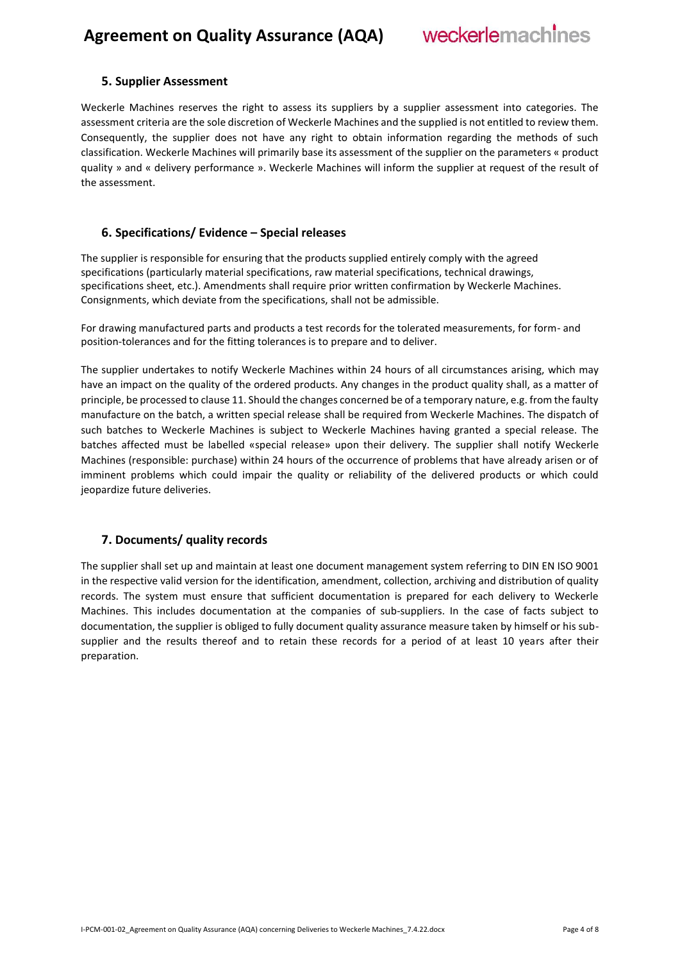#### <span id="page-3-0"></span>**5. Supplier Assessment**

Weckerle Machines reserves the right to assess its suppliers by a supplier assessment into categories. The assessment criteria are the sole discretion of Weckerle Machines and the supplied is not entitled to review them. Consequently, the supplier does not have any right to obtain information regarding the methods of such classification. Weckerle Machines will primarily base its assessment of the supplier on the parameters « product quality » and « delivery performance ». Weckerle Machines will inform the supplier at request of the result of the assessment.

#### <span id="page-3-1"></span>**6. Specifications/ Evidence – Special releases**

The supplier is responsible for ensuring that the products supplied entirely comply with the agreed specifications (particularly material specifications, raw material specifications, technical drawings, specifications sheet, etc.). Amendments shall require prior written confirmation by Weckerle Machines. Consignments, which deviate from the specifications, shall not be admissible.

For drawing manufactured parts and products a test records for the tolerated measurements, for form- and position-tolerances and for the fitting tolerances is to prepare and to deliver.

The supplier undertakes to notify Weckerle Machines within 24 hours of all circumstances arising, which may have an impact on the quality of the ordered products. Any changes in the product quality shall, as a matter of principle, be processed to clause 11. Should the changes concerned be of a temporary nature, e.g. from the faulty manufacture on the batch, a written special release shall be required from Weckerle Machines. The dispatch of such batches to Weckerle Machines is subject to Weckerle Machines having granted a special release. The batches affected must be labelled «special release» upon their delivery. The supplier shall notify Weckerle Machines (responsible: purchase) within 24 hours of the occurrence of problems that have already arisen or of imminent problems which could impair the quality or reliability of the delivered products or which could jeopardize future deliveries.

#### <span id="page-3-2"></span>**7. Documents/ quality records**

The supplier shall set up and maintain at least one document management system referring to DIN EN ISO 9001 in the respective valid version for the identification, amendment, collection, archiving and distribution of quality records. The system must ensure that sufficient documentation is prepared for each delivery to Weckerle Machines. This includes documentation at the companies of sub-suppliers. In the case of facts subject to documentation, the supplier is obliged to fully document quality assurance measure taken by himself or his subsupplier and the results thereof and to retain these records for a period of at least 10 years after their preparation.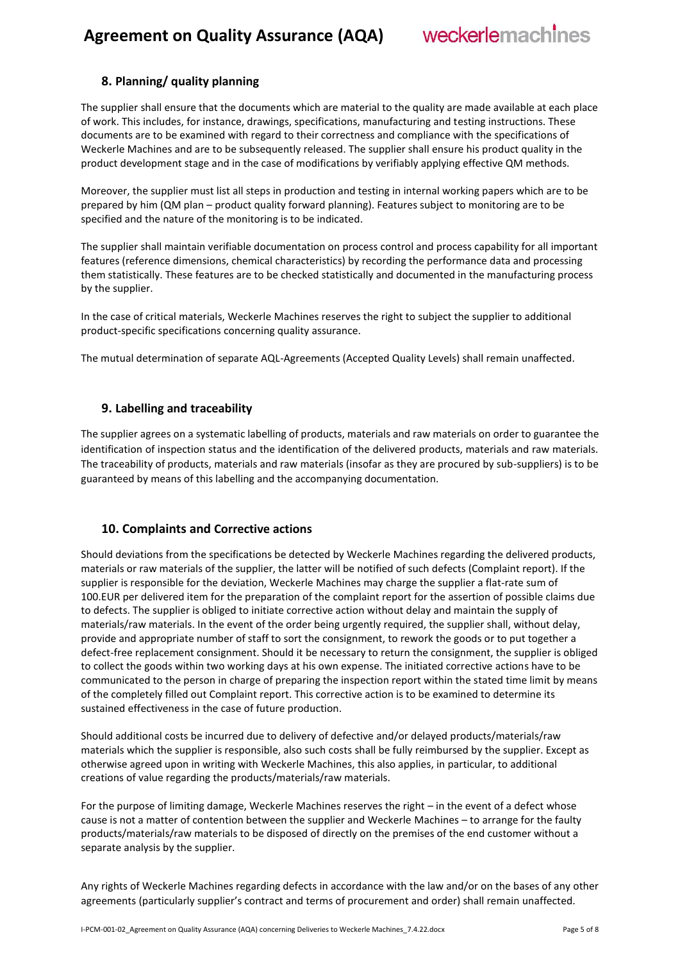### **Agreement on Quality Assurance (AQA)**



#### <span id="page-4-0"></span>**8. Planning/ quality planning**

The supplier shall ensure that the documents which are material to the quality are made available at each place of work. This includes, for instance, drawings, specifications, manufacturing and testing instructions. These documents are to be examined with regard to their correctness and compliance with the specifications of Weckerle Machines and are to be subsequently released. The supplier shall ensure his product quality in the product development stage and in the case of modifications by verifiably applying effective QM methods.

Moreover, the supplier must list all steps in production and testing in internal working papers which are to be prepared by him (QM plan – product quality forward planning). Features subject to monitoring are to be specified and the nature of the monitoring is to be indicated.

The supplier shall maintain verifiable documentation on process control and process capability for all important features (reference dimensions, chemical characteristics) by recording the performance data and processing them statistically. These features are to be checked statistically and documented in the manufacturing process by the supplier.

In the case of critical materials, Weckerle Machines reserves the right to subject the supplier to additional product-specific specifications concerning quality assurance.

The mutual determination of separate AQL-Agreements (Accepted Quality Levels) shall remain unaffected.

#### <span id="page-4-1"></span>**9. Labelling and traceability**

The supplier agrees on a systematic labelling of products, materials and raw materials on order to guarantee the identification of inspection status and the identification of the delivered products, materials and raw materials. The traceability of products, materials and raw materials (insofar as they are procured by sub-suppliers) is to be guaranteed by means of this labelling and the accompanying documentation.

#### <span id="page-4-2"></span>**10. Complaints and Corrective actions**

Should deviations from the specifications be detected by Weckerle Machines regarding the delivered products, materials or raw materials of the supplier, the latter will be notified of such defects (Complaint report). If the supplier is responsible for the deviation, Weckerle Machines may charge the supplier a flat-rate sum of 100.EUR per delivered item for the preparation of the complaint report for the assertion of possible claims due to defects. The supplier is obliged to initiate corrective action without delay and maintain the supply of materials/raw materials. In the event of the order being urgently required, the supplier shall, without delay, provide and appropriate number of staff to sort the consignment, to rework the goods or to put together a defect-free replacement consignment. Should it be necessary to return the consignment, the supplier is obliged to collect the goods within two working days at his own expense. The initiated corrective actions have to be communicated to the person in charge of preparing the inspection report within the stated time limit by means of the completely filled out Complaint report. This corrective action is to be examined to determine its sustained effectiveness in the case of future production.

Should additional costs be incurred due to delivery of defective and/or delayed products/materials/raw materials which the supplier is responsible, also such costs shall be fully reimbursed by the supplier. Except as otherwise agreed upon in writing with Weckerle Machines, this also applies, in particular, to additional creations of value regarding the products/materials/raw materials.

For the purpose of limiting damage, Weckerle Machines reserves the right – in the event of a defect whose cause is not a matter of contention between the supplier and Weckerle Machines – to arrange for the faulty products/materials/raw materials to be disposed of directly on the premises of the end customer without a separate analysis by the supplier.

Any rights of Weckerle Machines regarding defects in accordance with the law and/or on the bases of any other agreements (particularly supplier's contract and terms of procurement and order) shall remain unaffected.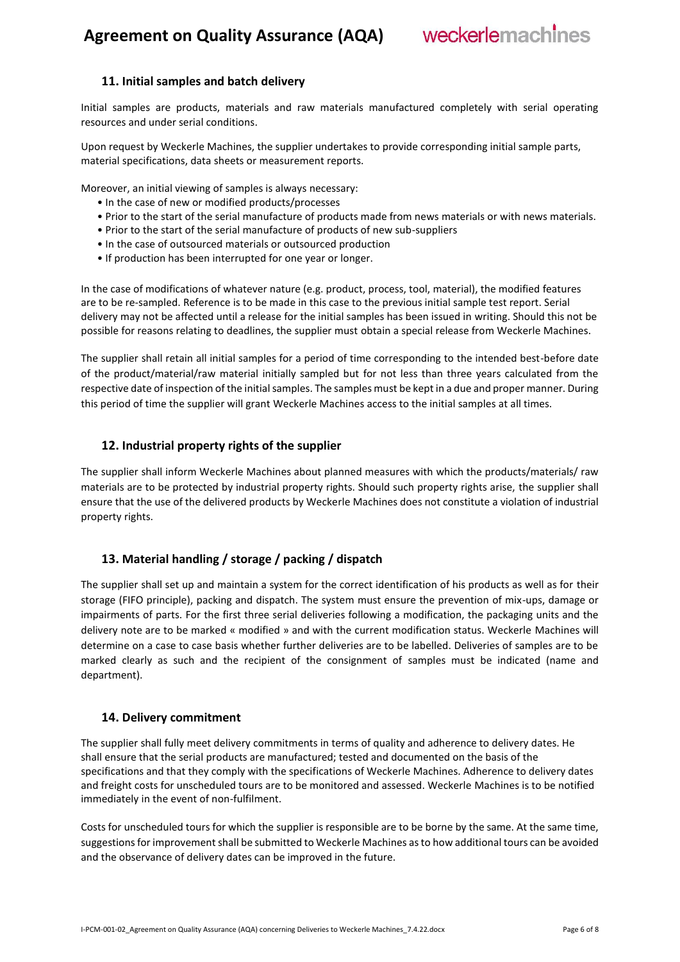weckerlemachines

#### <span id="page-5-0"></span>**11. Initial samples and batch delivery**

Initial samples are products, materials and raw materials manufactured completely with serial operating resources and under serial conditions.

Upon request by Weckerle Machines, the supplier undertakes to provide corresponding initial sample parts, material specifications, data sheets or measurement reports.

Moreover, an initial viewing of samples is always necessary:

- In the case of new or modified products/processes
- Prior to the start of the serial manufacture of products made from news materials or with news materials.
- Prior to the start of the serial manufacture of products of new sub-suppliers
- In the case of outsourced materials or outsourced production
- If production has been interrupted for one year or longer.

In the case of modifications of whatever nature (e.g. product, process, tool, material), the modified features are to be re-sampled. Reference is to be made in this case to the previous initial sample test report. Serial delivery may not be affected until a release for the initial samples has been issued in writing. Should this not be possible for reasons relating to deadlines, the supplier must obtain a special release from Weckerle Machines.

The supplier shall retain all initial samples for a period of time corresponding to the intended best-before date of the product/material/raw material initially sampled but for not less than three years calculated from the respective date of inspection of the initial samples. The samples must be kept in a due and proper manner. During this period of time the supplier will grant Weckerle Machines access to the initial samples at all times.

#### <span id="page-5-1"></span>**12. Industrial property rights of the supplier**

The supplier shall inform Weckerle Machines about planned measures with which the products/materials/ raw materials are to be protected by industrial property rights. Should such property rights arise, the supplier shall ensure that the use of the delivered products by Weckerle Machines does not constitute a violation of industrial property rights.

#### <span id="page-5-2"></span>**13. Material handling / storage / packing / dispatch**

The supplier shall set up and maintain a system for the correct identification of his products as well as for their storage (FIFO principle), packing and dispatch. The system must ensure the prevention of mix-ups, damage or impairments of parts. For the first three serial deliveries following a modification, the packaging units and the delivery note are to be marked « modified » and with the current modification status. Weckerle Machines will determine on a case to case basis whether further deliveries are to be labelled. Deliveries of samples are to be marked clearly as such and the recipient of the consignment of samples must be indicated (name and department).

#### <span id="page-5-3"></span>**14. Delivery commitment**

The supplier shall fully meet delivery commitments in terms of quality and adherence to delivery dates. He shall ensure that the serial products are manufactured; tested and documented on the basis of the specifications and that they comply with the specifications of Weckerle Machines. Adherence to delivery dates and freight costs for unscheduled tours are to be monitored and assessed. Weckerle Machines is to be notified immediately in the event of non-fulfilment.

Costs for unscheduled tours for which the supplier is responsible are to be borne by the same. At the same time, suggestions for improvement shall be submitted to Weckerle Machines as to how additional tours can be avoided and the observance of delivery dates can be improved in the future.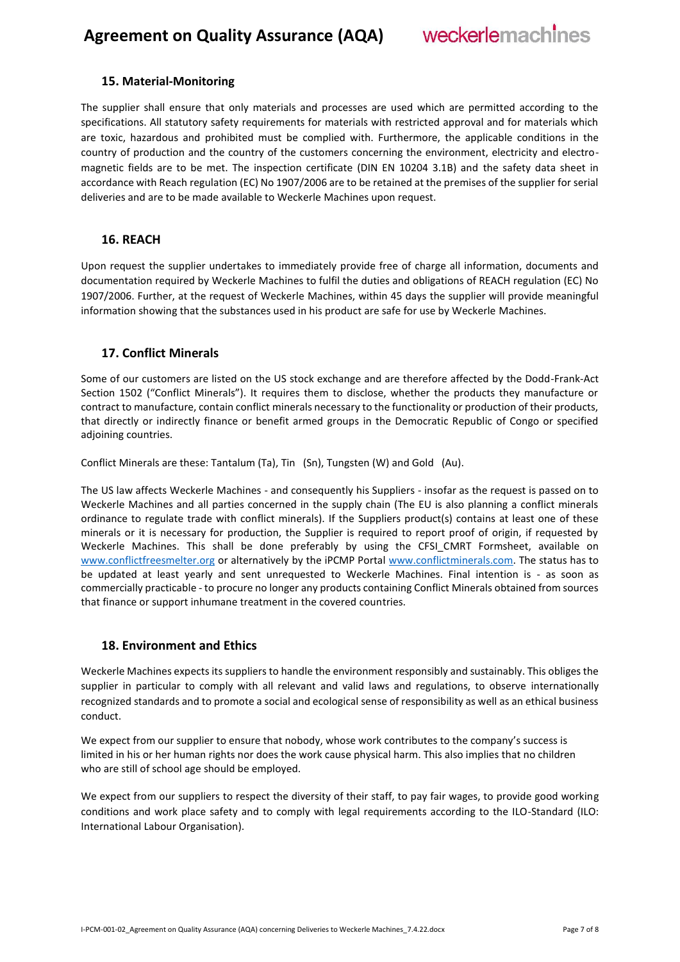### **Agreement on Quality Assurance (AQA)**



#### <span id="page-6-0"></span>**15. Material-Monitoring**

The supplier shall ensure that only materials and processes are used which are permitted according to the specifications. All statutory safety requirements for materials with restricted approval and for materials which are toxic, hazardous and prohibited must be complied with. Furthermore, the applicable conditions in the country of production and the country of the customers concerning the environment, electricity and electromagnetic fields are to be met. The inspection certificate (DIN EN 10204 3.1B) and the safety data sheet in accordance with Reach regulation (EC) No 1907/2006 are to be retained at the premises of the supplier for serial deliveries and are to be made available to Weckerle Machines upon request.

#### <span id="page-6-1"></span>**16. REACH**

Upon request the supplier undertakes to immediately provide free of charge all information, documents and documentation required by Weckerle Machines to fulfil the duties and obligations of REACH regulation (EC) No 1907/2006. Further, at the request of Weckerle Machines, within 45 days the supplier will provide meaningful information showing that the substances used in his product are safe for use by Weckerle Machines.

#### <span id="page-6-2"></span>**17. Conflict Minerals**

Some of our customers are listed on the US stock exchange and are therefore affected by the Dodd-Frank-Act Section 1502 ("Conflict Minerals"). It requires them to disclose, whether the products they manufacture or contract to manufacture, contain conflict minerals necessary to the functionality or production of their products, that directly or indirectly finance or benefit armed groups in the Democratic Republic of Congo or specified adjoining countries.

Conflict Minerals are these: Tantalum (Ta), Tin (Sn), Tungsten (W) and Gold (Au).

The US law affects Weckerle Machines - and consequently his Suppliers - insofar as the request is passed on to Weckerle Machines and all parties concerned in the supply chain (The EU is also planning a conflict minerals ordinance to regulate trade with conflict minerals). If the Suppliers product(s) contains at least one of these minerals or it is necessary for production, the Supplier is required to report proof of origin, if requested by Weckerle Machines. This shall be done preferably by using the CFSI CMRT Formsheet, available on [www.conflictfreesmelter.org](http://www.conflictfreesmelter.org/) or alternatively by the iPCMP Portal [www.conflictminerals.com.](http://www.conflictminerals.com/) The status has to be updated at least yearly and sent unrequested to Weckerle Machines. Final intention is - as soon as commercially practicable - to procure no longer any products containing Conflict Minerals obtained from sources that finance or support inhumane treatment in the covered countries.

#### <span id="page-6-3"></span>**18. Environment and Ethics**

Weckerle Machines expects its suppliers to handle the environment responsibly and sustainably. This obliges the supplier in particular to comply with all relevant and valid laws and regulations, to observe internationally recognized standards and to promote a social and ecological sense of responsibility as well as an ethical business conduct.

We expect from our supplier to ensure that nobody, whose work contributes to the company's success is limited in his or her human rights nor does the work cause physical harm. This also implies that no children who are still of school age should be employed.

We expect from our suppliers to respect the diversity of their staff, to pay fair wages, to provide good working conditions and work place safety and to comply with legal requirements according to the ILO-Standard (ILO: International Labour Organisation).